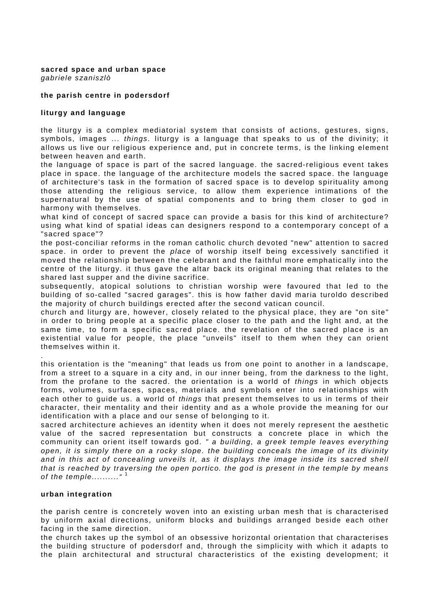#### **sacred space and urban space**  *gabriele szaniszlò*

# **the parish centre in podersdorf**

### **liturgy and language**

the liturgy is a complex mediatorial system that consists of actions, gestures, signs, symbols, images ... *things*. liturgy is a language that speaks to us of the divinity; it allows us live our religious experience and, put in concrete terms, is the linking element between heaven and earth.

the language of space is part of the sacred language. the sacred-religious event takes place in space. the language of the architecture models the sacred space. the language of architecture's task in the formation of sacred space is to develop spirituality among those attending the religious service, to allow them experience intimations of the supernatural by the use of spatial components and to bring them closer to god in harmony with themselves.

what kind of concept of sacred space can provide a basis for this kind of architecture? using what kind of spatial ideas can designers respond to a contemporary concept of a "sacred space"?

the post-conciliar reforms in the roman catholic church devoted "new" attention to sacred space. in order to prevent the *place* of worship itself being excessively sanctified it moved the relationship between the celebrant and the faithful more emphatically into the centre of the liturgy. it thus gave the altar back its original meaning that relates to the shared last supper and the divine sacrifice.

subsequently, atopical solutions to christian worship were favoured that led to the building of so-called "sacred garages". this is how father david maria turoldo described the majority of church buildings erected after the second vatican council.

church and liturgy are, however, closely related to the physical place, they are "on site" in order to bring people at a specific place closer to the path and the light and, at the same time, to form a specific sacred place. the revelation of the sacred place is an existential value for people, the place "unveils" itself to them when they can orient themselves within it.

this orientation is the "meaning" that leads us from one point to another in a landscape, from a street to a square in a city and, in our inner being, from the darkness to the light, from the profane to the sacred. the orientation is a world of *things* in which objects forms, volumes, surfaces, spaces, materials and symbols enter into relationships with each other to guide us. a world of *things* that present themselves to us in terms of their character, their mentality and their identity and as a whole provide the meaning for our identification with a place and our sense of belonging to it.

sacred architecture achieves an identity when it does not merely represent the aesthetic value of the sacred representation but constructs a concrete place in which the community can orient itself towards god. *" a building, a greek temple leaves everything open, it is simply there on a rocky slope. the building conceals the image of its divinity and in this act of concealing unveils it, as it displays the image inside its sacred shell that is reached by traversing the open portico. the god is present in the temple by means of the temple.........."* [1](#page-3-0)

### **urban integration**

.

the parish centre is concretely woven into an existing urban mesh that is characterised by uniform axial directions, uniform blocks and buildings arranged beside each other facing in the same direction.

the church takes up the symbol of an obsessive horizontal orientation that characterises the building structure of podersdorf and, through the simplicity with which it adapts to the plain architectural and structural characteristics of the existing development; it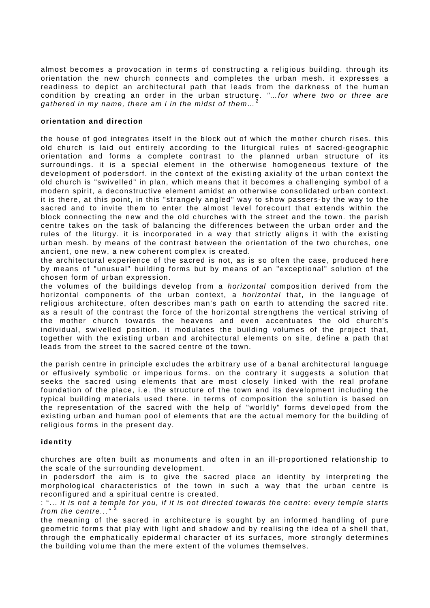almost becomes a provocation in terms of constructing a religious building. through its orientation the new church connects and completes the urban mesh. it expresses a readiness to depict an architectural path that leads from the darkness of the human condition by creating an order in the urban structure. *"…for where two or three are gathered in my name, there am i in the midst of them…* [2](#page-3-1)

# **orientation and direction**

the house of god integrates itself in the block out of which the mother church rises. this old church is laid out entirely according to the liturgical rules of sacred-geographic orientation and forms a complete contrast to the planned urban structure of its surroundings. it is a special element in the otherwise homogeneous texture of the development of podersdorf. in the context of the existing axiality of the urban context the old church is "swivelled" in plan, which means that it becomes a challenging symbol of a modern spirit, a deconstructive element amidst an otherwise consolidated urban context. it is there, at this point, in this "strangely angled" way to show passers-by the way to the sacred and to invite them to enter the almost level forecourt that extends within the block connecting the new and the old churches with the street and the town. the parish centre takes on the task of balancing the differences between the urban order and the rules of the liturgy. it is incorporated in a way that strictly aligns it with the existing urban mesh. by means of the contrast between the orientation of the two churches, one ancient, one new, a new coherent complex is created.

the architectural experience of the sacred is not, as is so often the case, produced here by means of "unusual" building forms but by means of an "exceptional" solution of the chosen form of urban expression.

the volumes of the buildings develop from a *horizontal* composition derived from the horizontal components of the urban context, a *horizontal* that, in the language of religious architecture, often describes man's path on earth to attending the sacred rite. as a result of the contrast the force of the horizontal strengthens the vertical striving of the mother church towards the heavens and even accentuates the old church's individual, swivelled position. it modulates the building volumes of the project that, together with the existing urban and architectural elements on site, define a path that leads from the street to the sacred centre of the town.

the parish centre in principle excludes the arbitrary use of a banal architectural language or effusively symbolic or imperious forms. on the contrary it suggests a solution that seeks the sacred using elements that are most closely linked with the real profane foundation of the place, i.e. the structure of the town and its development including the typical building materials used there. in terms of composition the solution is based on the representation of the sacred with the help of "worldly" forms developed from the existing urban and human pool of elements that are the actual memory for the building of religious forms in the present day.

# **identity**

churches are often built as monuments and often in an ill-proportioned relationship to the scale of the surrounding development.

in podersdorf the aim is to give the sacred place an identity by interpreting the morphological characteristics of the town in such a way that the urban centre is reconfigured and a spiritual centre is created.

: "... *it is not a temple for you, if it is not directed towards the centre: every temple starts*  from the centre..."

the meaning of the sacred in architecture is sought by an informed handling of pure geometric forms that play with light and shadow and by realising the idea of a shell that, through the emphatically epidermal character of its surfaces, more strongly determines the building volume than the mere extent of the volumes themselves.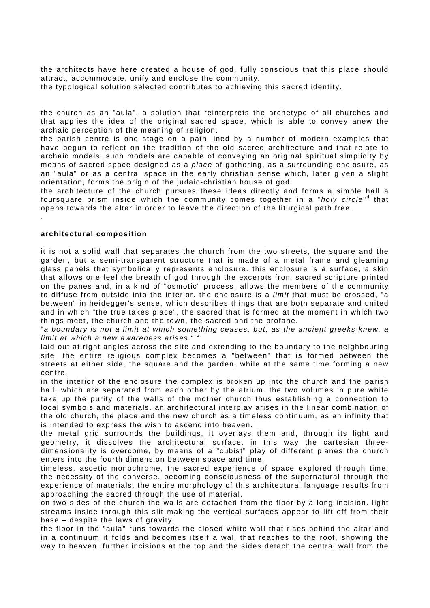the architects have here created a house of god, fully conscious that this place should attract, accommodate, unify and enclose the community.

the typological solution selected contributes to achieving this sacred identity.

the church as an "aula", a solution that reinterprets the archetype of all churches and that applies the idea of the original sacred space, which is able to convey anew the archaic perception of the meaning of religion.

the parish centre is one stage on a path lined by a number of modern examples that have begun to reflect on the tradition of the old sacred architecture and that relate to archaic models. such models are capable of conveying an original spiritual simplicity by means of sacred space designed as a *place* of gathering, as a surrounding enclosure, as an "aula" or as a central space in the early christian sense which, later given a slight orientation, forms the origin of the judaic-christian house of god.

the architecture of the church pursues these ideas directly and forms a simple hall a foursquare prism inside which the community comes together in a "*holy circle*" [4](#page-3-3) that opens towards the altar in order to leave the direction of the liturgical path free.

### **architectural composition**

.

it is not a solid wall that separates the church from the two streets, the square and the garden, but a semi-transparent structure that is made of a metal frame and gleaming glass panels that symbolically represents enclosure. this enclosure is a surface, a skin that allows one feel the breath of god through the excerpts from sacred scripture printed on the panes and, in a kind of "osmotic" process, allows the members of the community to diffuse from outside into the interior. the enclosure is a *limit* that must be crossed, "a between" in heidegger's sense, which describes things that are both separate and united and in which "the true takes place", the sacred that is formed at the moment in which two things meet, the church and the town, the sacred and the profane.

"*a boundary is not a limit at which something ceases, but, as the ancient greeks knew, a limit at which a new awareness arises*." [5](#page-3-4)

laid out at right angles across the site and extending to the boundary to the neighbouring site, the entire religious complex becomes a "between" that is formed between the streets at either side, the square and the garden, while at the same time forming a new centre.

in the interior of the enclosure the complex is broken up into the church and the parish hall, which are separated from each other by the atrium. the two volumes in pure white take up the purity of the walls of the mother church thus establishing a connection to local symbols and materials. an architectural interplay arises in the linear combination of the old church, the place and the new church as a timeless continuum, as an infinity that is intended to express the wish to ascend into heaven.

the metal grid surrounds the buildings, it overlays them and, through its light and geometry, it dissolves the architectural surface. in this way the cartesian threedimensionality is overcome, by means of a "cubist" play of different planes the church enters into the fourth dimension between space and time.

timeless, ascetic monochrome, the sacred experience of space explored through time: the necessity of the converse, becoming consciousness of the supernatural through the experience of materials. the entire morphology of this architectural language results from approaching the sacred through the use of material.

on two sides of the church the walls are detached from the floor by a long incision. light streams inside through this slit making the vertical surfaces appear to lift off from their base – despite the laws of gravity.

the floor in the "aula" runs towards the closed white wall that rises behind the altar and in a continuum it folds and becomes itself a wall that reaches to the roof, showing the way to heaven. further incisions at the top and the sides detach the central wall from the